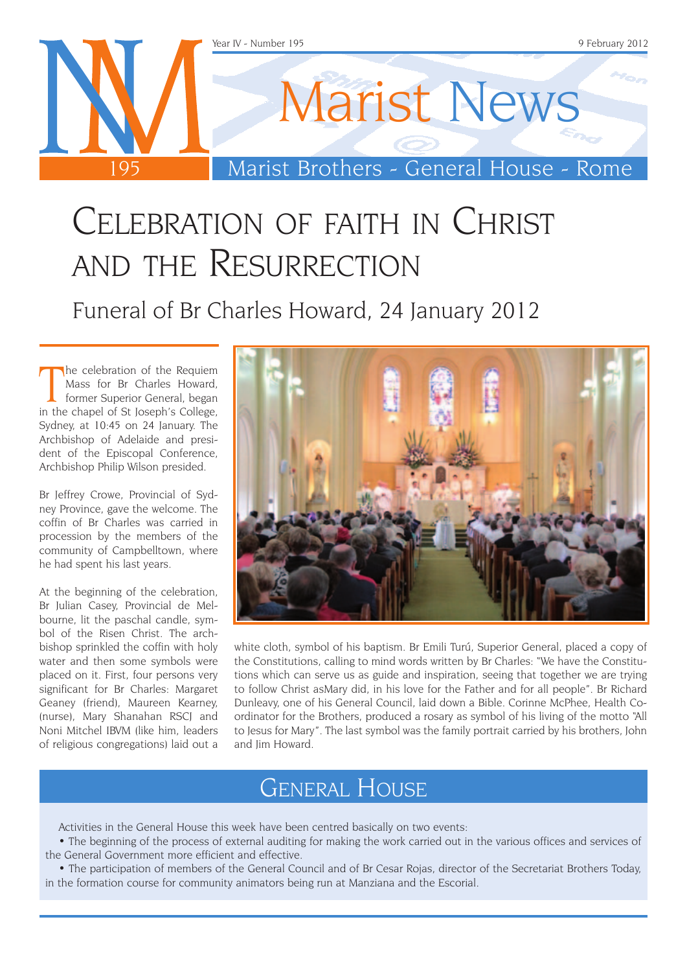

## Celebration of faith in Christ and the Resurrection

Funeral of Br Charles Howard, 24 January 2012

The celebration of the Requiem<br>
Mass for Br Charles Howard,<br>
former Superior General, began<br>
in the chapel of St Joseph's College, he celebration of the Requiem Mass for Br Charles Howard, former Superior General, began Sydney, at 10:45 on 24 January. The Archbishop of Adelaide and president of the Episcopal Conference, Archbishop Philip Wilson presided.

Br Jeffrey Crowe, Provincial of Sydney Province, gave the welcome. The coffin of Br Charles was carried in procession by the members of the community of Campbelltown, where he had spent his last years.

At the beginning of the celebration, Br Julian Casey, Provincial de Melbourne, lit the paschal candle, symbol of the Risen Christ. The archbishop sprinkled the coffin with holy water and then some symbols were placed on it. First, four persons very significant for Br Charles: Margaret Geaney (friend), Maureen Kearney, (nurse), Mary Shanahan RSCJ and Noni Mitchel IBVM (like him, leaders of religious congregations) laid out a



white cloth, symbol of his baptism. Br Emili Turú, Superior General, placed a copy of the Constitutions, calling to mind words written by Br Charles: "We have the Constitutions which can serve us as guide and inspiration, seeing that together we are trying to follow Christ asMary did, in his love for the Father and for all people". Br Richard Dunleavy, one of his General Council, laid down a Bible. Corinne McPhee, Health Coordinator for the Brothers, produced a rosary as symbol of his living of the motto "All to Jesus for Mary". The last symbol was the family portrait carried by his brothers, John and Iim Howard.

### General House

Activities in the General House this week have been centred basically on two events:

• The beginning of the process of external auditing for making the work carried out in the various offices and services of the General Government more efficient and effective.

• The participation of members of the General Council and of Br Cesar Rojas, director of the Secretariat Brothers Today, in the formation course for community animators being run at Manziana and the Escorial.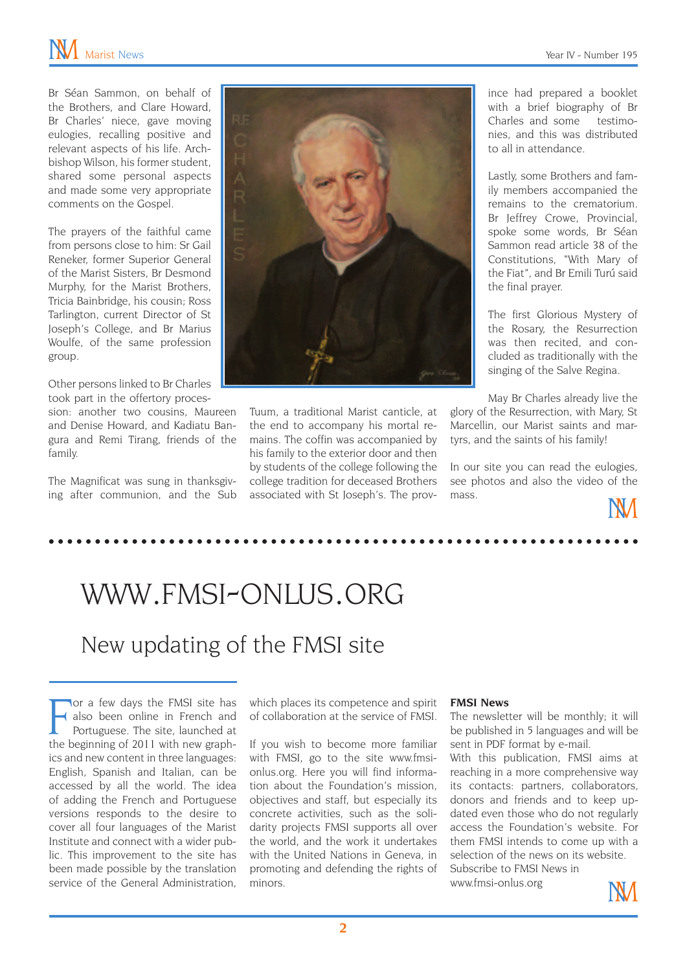Br Séan Sammon, on behalf of the Brothers, and Clare Howard, Br Charles' niece, gave moving eulogies, recalling positive and relevant aspects of his life. Archbishop Wilson, his former student, shared some personal aspects and made some very appropriate comments on the Gospel.

The prayers of the faithful came from persons close to him: Sr Gail Reneker, former Superior General of the Marist Sisters, Br Desmond Murphy, for the Marist Brothers, Tricia Bainbridge, his cousin; Ross Tarlington, current Director of St Joseph's College, and Br Marius Woulfe, of the same profession group.

Other persons linked to Br Charles took part in the offertory proces-

sion: another two cousins, Maureen and Denise Howard, and Kadiatu Bangura and Remi Tirang, friends of the family.

The Magnificat was sung in thanksgiving after communion, and the Sub



Tuum, a traditional Marist canticle, at the end to accompany his mortal remains. The coffin was accompanied by his family to the exterior door and then by students of the college following the college tradition for deceased Brothers associated with St Joseph's. The province had prepared a booklet with a brief biography of Br Charles and some testimonies, and this was distributed to all in attendance.

Lastly, some Brothers and family members accompanied the remains to the crematorium. Br Jeffrey Crowe, Provincial, spoke some words, Br Séan Sammon read article 38 of the Constitutions, "With Mary of the Fiat", and Br Emili Turú said the final prayer.

The first Glorious Mystery of the Rosary, the Resurrection was then recited, and concluded as traditionally with the singing of the Salve Regina.

May Br Charles already live the glory of the Resurrection, with Mary, St Marcellin, our Marist saints and martyrs, and the saints of his family!

In our site you can read the eulogies, see photos and also the video of the mass.

## www.fmsi-onlus.org

### New updating of the FMSI site

The beginning of 2011 with new graph-<br>the beginning of 2011 with new graphor a few days the FMSI site has also been online in French and Portuguese. The site, launched at ics and new content in three languages: English, Spanish and Italian, can be accessed by all the world. The idea of adding the French and Portuguese versions responds to the desire to cover all four languages of the Marist Institute and connect with a wider public. This improvement to the site has been made possible by the translation service of the General Administration,

which places its competence and spirit of collaboration at the service of FMSI.

If you wish to become more familiar with FMSI, go to the site www.fmsionlus.org. Here you will find information about the Foundation's mission, objectives and staff, but especially its concrete activities, such as the solidarity projects FMSI supports all over the world, and the work it undertakes with the United Nations in Geneva, in promoting and defending the rights of minors.

#### **FMSI News**

The newsletter will be monthly; it will be published in 5 languages and will be sent in PDF format by e-mail.

With this publication, FMSI aims at reaching in a more comprehensive way its contacts: partners, collaborators, donors and friends and to keep updated even those who do not regularly access the Foundation's website. For them FMSI intends to come up with a selection of the news on its website. Subscribe to FMSI News in

www.fmsi-onlus.org

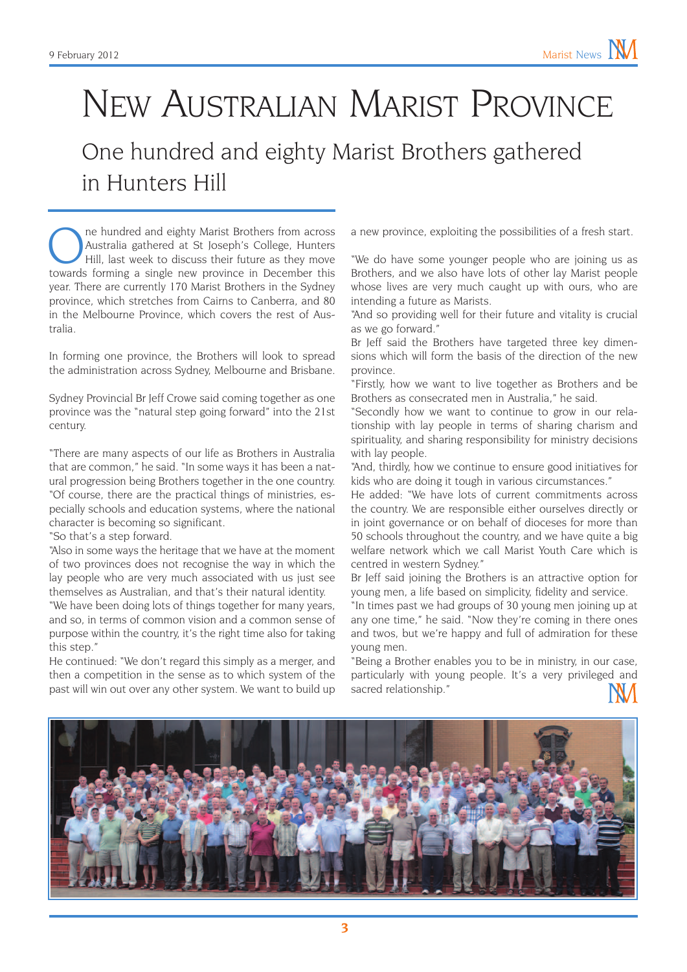## New Australian Marist Province One hundred and eighty Marist Brothers gathered

in Hunters Hill

The hundred and eighty Marist Brothers from across<br>Australia gathered at St Joseph's College, Hunters<br>Hill, last week to discuss their future as they move<br>towards forming a single new province in December this Australia gathered at St Joseph's College, Hunters Hill, last week to discuss their future as they move towards forming a single new province in December this year. There are currently 170 Marist Brothers in the Sydney province, which stretches from Cairns to Canberra, and 80 in the Melbourne Province, which covers the rest of Australia.

In forming one province, the Brothers will look to spread the administration across Sydney, Melbourne and Brisbane.

Sydney Provincial Br Jeff Crowe said coming together as one province was the "natural step going forward" into the 21st century.

"There are many aspects of our life as Brothers in Australia that are common," he said. "In some ways it has been a natural progression being Brothers together in the one country. "Of course, there are the practical things of ministries, especially schools and education systems, where the national character is becoming so significant.

"So that's a step forward.

"Also in some ways the heritage that we have at the moment of two provinces does not recognise the way in which the lay people who are very much associated with us just see themselves as Australian, and that's their natural identity.

"We have been doing lots of things together for many years, and so, in terms of common vision and a common sense of purpose within the country, it's the right time also for taking this step."

He continued: "We don't regard this simply as a merger, and then a competition in the sense as to which system of the past will win out over any other system. We want to build up a new province, exploiting the possibilities of a fresh start.

"We do have some younger people who are joining us as Brothers, and we also have lots of other lay Marist people whose lives are very much caught up with ours, who are intending a future as Marists.

"And so providing well for their future and vitality is crucial as we go forward."

Br Jeff said the Brothers have targeted three key dimensions which will form the basis of the direction of the new province.

"Firstly, how we want to live together as Brothers and be Brothers as consecrated men in Australia," he said.

"Secondly how we want to continue to grow in our relationship with lay people in terms of sharing charism and spirituality, and sharing responsibility for ministry decisions with lay people.

"And, thirdly, how we continue to ensure good initiatives for kids who are doing it tough in various circumstances."

He added: "We have lots of current commitments across the country. We are responsible either ourselves directly or in joint governance or on behalf of dioceses for more than 50 schools throughout the country, and we have quite a big welfare network which we call Marist Youth Care which is centred in western Sydney."

Br Jeff said joining the Brothers is an attractive option for young men, a life based on simplicity, fidelity and service.

"In times past we had groups of 30 young men joining up at any one time," he said. "Now they're coming in there ones and twos, but we're happy and full of admiration for these young men.

"Being a Brother enables you to be in ministry, in our case, particularly with young people. It's a very privileged and sacred relationship."